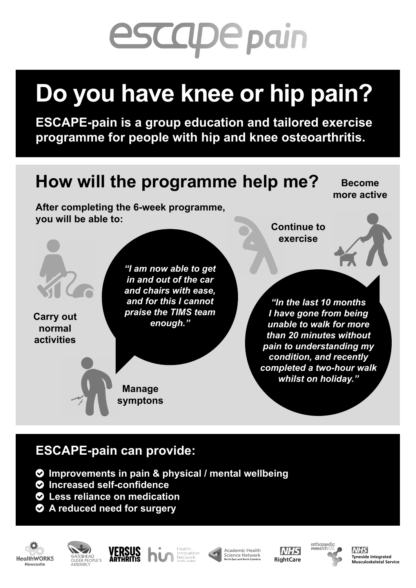# **escape pain**

## **Do you have knee or hip pain?**

**ESCAPE-pain is a group education and tailored exercise programme for people with hip and knee osteoarthritis.**



#### **Tyneside Integrated Musculoskeletal Service (TIMS) www.tims.net/control** To find out more and for session **dates and times ESCAPE-pain can provide:**

- **Tyneside Integrated Musculoskeletal Service (TIMS)**  $\bullet$  Improvements in pain & physical / mental wellbeing
	- **O** Increased self-confidence
	- $\bullet$  Less reliance on medication
	- $\bullet$  A reduced need for surgery



Available for iOS and Android